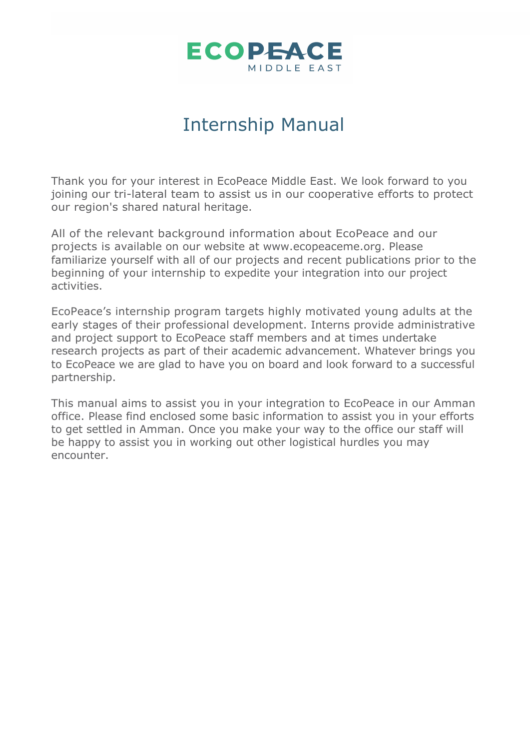

## Internship Manual

Thank you for your interest in EcoPeace Middle East. We look forward to you joining our tri-lateral team to assist us in our cooperative efforts to protect our region's shared natural heritage.

All of the relevant background information about EcoPeace and our projects is available on our website at www.ecopeaceme.org. Please familiarize yourself with all of our projects and recent publications prior to the beginning of your internship to expedite your integration into our project activities.

EcoPeace's internship program targets highly motivated young adults at the early stages of their professional development. Interns provide administrative and project support to EcoPeace staff members and at times undertake research projects as part of their academic advancement. Whatever brings you to EcoPeace we are glad to have you on board and look forward to a successful partnership.

This manual aims to assist you in your integration to EcoPeace in our Amman office. Please find enclosed some basic information to assist you in your efforts to get settled in Amman. Once you make your way to the office our staff will be happy to assist you in working out other logistical hurdles you may encounter.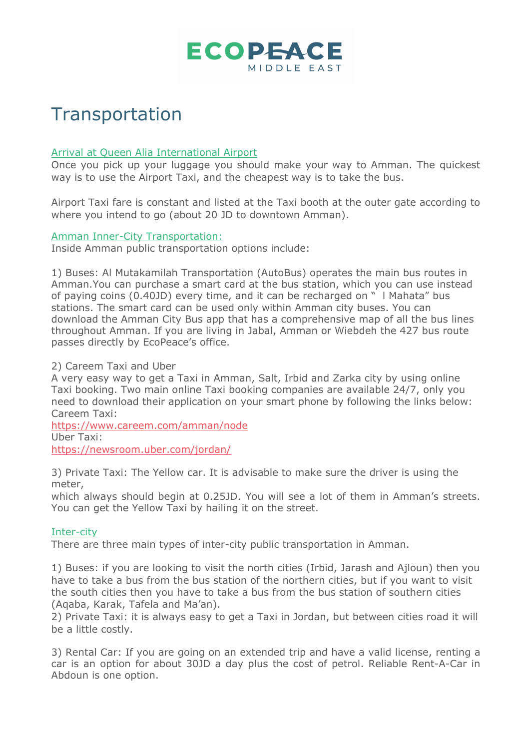

# **Transportation**

#### Arrival at Queen Alia International Airport

Once you pick up your luggage you should make your way to Amman. The quickest way is to use the Airport Taxi, and the cheapest way is to take the bus.

Airport Taxi fare is constant and listed at the Taxi booth at the outer gate according to where you intend to go (about 20 JD to downtown Amman).

#### Amman Inner-City Transportation:

Inside Amman public transportation options include:

1) Buses: Al Mutakamilah Transportation (AutoBus) operates the main bus routes in Amman.You can purchase a smart card at the bus station, which you can use instead of paying coins (0.40JD) every time, and it can be recharged on " l Mahata" bus stations. The smart card can be used only within Amman city buses. You can download the Amman City Bus app that has a comprehensive map of all the bus lines throughout Amman. If you are living in Jabal, Amman or Wiebdeh the 427 bus route passes directly by EcoPeace's office.

2) Careem Taxi and Uber

A very easy way to get a Taxi in Amman, Salt, Irbid and Zarka city by using online Taxi booking. Two main online Taxi booking companies are available 24/7, only you need to download their application on your smart phone by following the links below: Careem Taxi:

https://www.careem.com/amman/node Uber Taxi:

https://newsroom.uber.com/jordan/

3) Private Taxi: The Yellow car. It is advisable to make sure the driver is using the meter,

which always should begin at 0.25JD. You will see a lot of them in Amman's streets. You can get the Yellow Taxi by hailing it on the street.

#### Inter-city

There are three main types of inter-city public transportation in Amman.

1) Buses: if you are looking to visit the north cities (Irbid, Jarash and Ajloun) then you have to take a bus from the bus station of the northern cities, but if you want to visit the south cities then you have to take a bus from the bus station of southern cities (Aqaba, Karak, Tafela and Ma'an).

2) Private Taxi: it is always easy to get a Taxi in Jordan, but between cities road it will be a little costly.

3) Rental Car: If you are going on an extended trip and have a valid license, renting a car is an option for about 30JD a day plus the cost of petrol. Reliable Rent-A-Car in Abdoun is one option.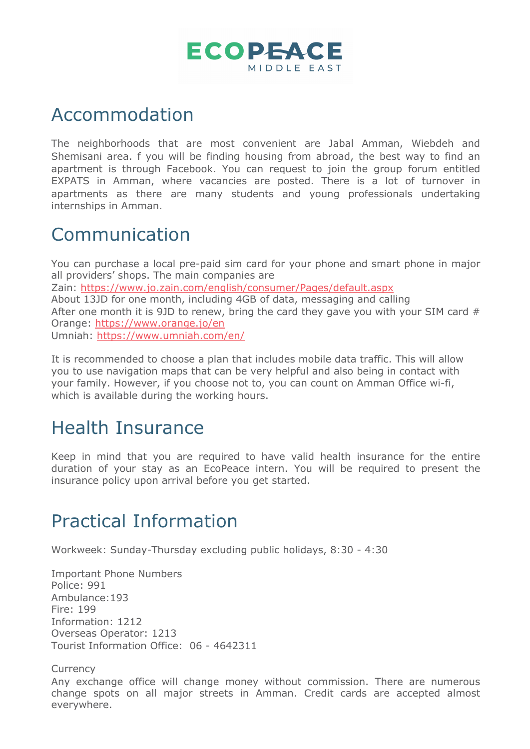

## Accommodation

The neighborhoods that are most convenient are Jabal Amman, Wiebdeh and Shemisani area. f you will be finding housing from abroad, the best way to find an apartment is through Facebook. You can request to join the group forum entitled EXPATS in Amman, where vacancies are posted. There is a lot of turnover in apartments as there are many students and young professionals undertaking internships in Amman.

### Communication

You can purchase a local pre-paid sim card for your phone and smart phone in major all providers' shops. The main companies are Zain: https://www.jo.zain.com/english/consumer/Pages/default.aspx About 13JD for one month, including 4GB of data, messaging and calling After one month it is 9JD to renew, bring the card they gave you with your SIM card  $#$ Orange: https://www.orange.jo/en Umniah: https://www.umniah.com/en/

It is recommended to choose a plan that includes mobile data traffic. This will allow you to use navigation maps that can be very helpful and also being in contact with your family. However, if you choose not to, you can count on Amman Office wi-fi, which is available during the working hours.

## Health Insurance

Keep in mind that you are required to have valid health insurance for the entire duration of your stay as an EcoPeace intern. You will be required to present the insurance policy upon arrival before you get started.

## Practical Information

Workweek: Sunday-Thursday excluding public holidays, 8:30 - 4:30

Important Phone Numbers Police: 991 Ambulance:193 Fire: 199 Information: 1212 Overseas Operator: 1213 Tourist Information Office: 06 - 4642311

Currency

Any exchange office will change money without commission. There are numerous change spots on all major streets in Amman. Credit cards are accepted almost everywhere.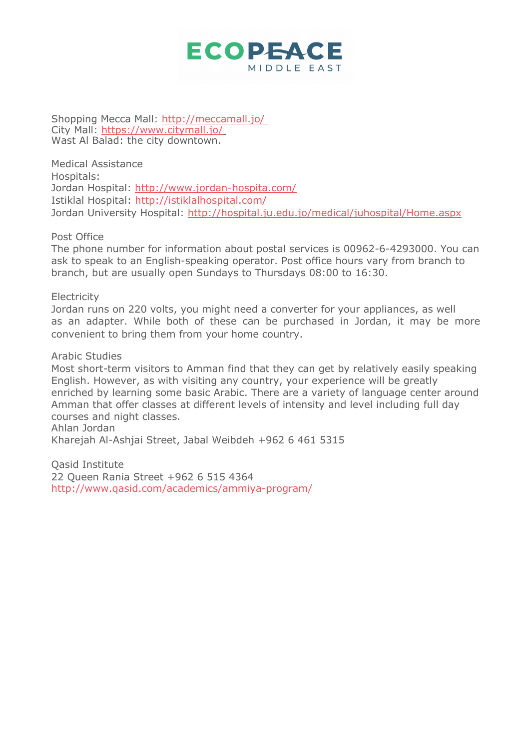#### **ECOPEACE** MIDDLE FAST

Shopping Mecca Mall: http://meccamall.jo/ City Mall: https://www.citymall.jo/ Wast Al Balad: the city downtown.

Medical Assistance Hospitals: Jordan Hospital: http://www.jordan-hospita.com/ Istiklal Hospital: http://istiklalhospital.com/ Jordan University Hospital: http://hospital.ju.edu.jo/medical/juhospital/Home.aspx

Post Office

The phone number for information about postal services is 00962-6-4293000. You can ask to speak to an English-speaking operator. Post office hours vary from branch to branch, but are usually open Sundays to Thursdays 08:00 to 16:30.

#### **Electricity**

Jordan runs on 220 volts, you might need a converter for your appliances, as well as an adapter. While both of these can be purchased in Jordan, it may be more convenient to bring them from your home country.

#### Arabic Studies

Most short-term visitors to Amman find that they can get by relatively easily speaking English. However, as with visiting any country, your experience will be greatly enriched by learning some basic Arabic. There are a variety of language center around Amman that offer classes at different levels of intensity and level including full day courses and night classes. Ahlan Jordan

Kharejah Al-Ashjai Street, Jabal Weibdeh +962 6 461 5315

Qasid Institute 22 Queen Rania Street +962 6 515 4364 http://www.qasid.com/academics/ammiya-program/